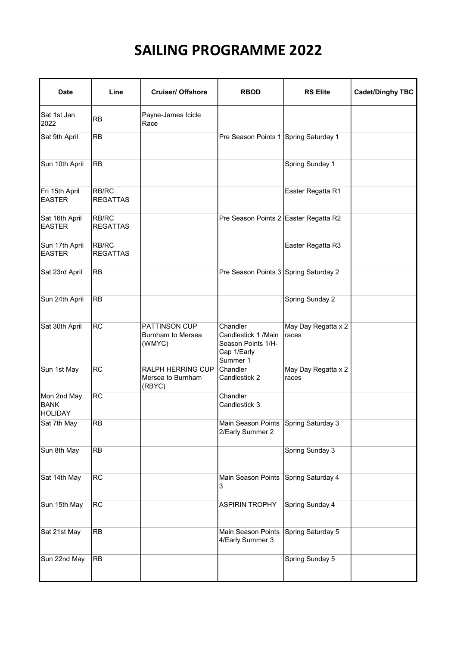## SAILING PROGRAMME 2022

| <b>Date</b>                                  | Line                     | <b>Cruiser/ Offshore</b>                            | <b>RBOD</b>                                                                       | <b>RS Elite</b>              | <b>Cadet/Dinghy TBC</b> |
|----------------------------------------------|--------------------------|-----------------------------------------------------|-----------------------------------------------------------------------------------|------------------------------|-------------------------|
| Sat 1st Jan<br>2022                          | RB                       | Payne-James Icicle<br>Race                          |                                                                                   |                              |                         |
| Sat 9th April                                | <b>RB</b>                |                                                     | Pre Season Points 1 Spring Saturday 1                                             |                              |                         |
| Sun 10th April                               | <b>RB</b>                |                                                     |                                                                                   | Spring Sunday 1              |                         |
| Fri 15th April<br><b>EASTER</b>              | RB/RC<br><b>REGATTAS</b> |                                                     |                                                                                   | Easter Regatta R1            |                         |
| Sat 16th April<br><b>EASTER</b>              | RB/RC<br><b>REGATTAS</b> |                                                     | Pre Season Points 2 Easter Regatta R2                                             |                              |                         |
| Sun 17th April<br><b>EASTER</b>              | RB/RC<br><b>REGATTAS</b> |                                                     |                                                                                   | Easter Regatta R3            |                         |
| Sat 23rd April                               | <b>RB</b>                |                                                     | Pre Season Points 3 Spring Saturday 2                                             |                              |                         |
| Sun 24th April                               | <b>RB</b>                |                                                     |                                                                                   | Spring Sunday 2              |                         |
| Sat 30th April                               | <b>RC</b>                | <b>PATTINSON CUP</b><br>Burnham to Mersea<br>(WMYC) | Chandler<br>Candlestick 1 / Main<br>Season Points 1/H-<br>Cap 1/Early<br>Summer 1 | May Day Regatta x 2<br>races |                         |
| Sun 1st May                                  | <b>RC</b>                | RALPH HERRING CUP<br>Mersea to Burnham<br>(RBYC)    | Chandler<br>Candlestick 2                                                         | May Day Regatta x 2<br>races |                         |
| Mon 2nd May<br><b>BANK</b><br><b>HOLIDAY</b> | RC                       |                                                     | Chandler<br>Candlestick 3                                                         |                              |                         |
| Sat 7th May                                  | <b>RB</b>                |                                                     | Main Season Points Spring Saturday 3<br>2/Early Summer 2                          |                              |                         |
| Sun 8th May                                  | <b>RB</b>                |                                                     |                                                                                   | Spring Sunday 3              |                         |
| Sat 14th May                                 | <b>RC</b>                |                                                     | Main Season Points<br>3                                                           | Spring Saturday 4            |                         |
| Sun 15th May                                 | <b>RC</b>                |                                                     | <b>ASPIRIN TROPHY</b>                                                             | Spring Sunday 4              |                         |
| Sat 21st May                                 | RB                       |                                                     | Main Season Points<br>4/Early Summer 3                                            | Spring Saturday 5            |                         |
| Sun 22nd May                                 | RB                       |                                                     |                                                                                   | Spring Sunday 5              |                         |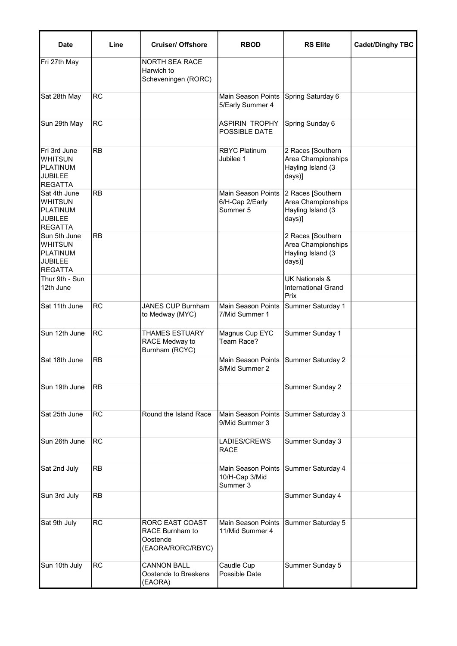| <b>Date</b>                                                                    | Line            | <b>Cruiser/ Offshore</b>                                                          | <b>RBOD</b>                                              | <b>RS Elite</b>                                                        | <b>Cadet/Dinghy TBC</b> |
|--------------------------------------------------------------------------------|-----------------|-----------------------------------------------------------------------------------|----------------------------------------------------------|------------------------------------------------------------------------|-------------------------|
| Fri 27th May                                                                   |                 | <b>NORTH SEA RACE</b><br>Harwich to<br>Scheveningen (RORC)                        |                                                          |                                                                        |                         |
| Sat 28th May                                                                   | <b>RC</b>       |                                                                                   | Main Season Points<br>5/Early Summer 4                   | Spring Saturday 6                                                      |                         |
| Sun 29th May                                                                   | <b>RC</b>       |                                                                                   | ASPIRIN TROPHY<br>POSSIBLE DATE                          | Spring Sunday 6                                                        |                         |
| Fri 3rd June<br><b>WHITSUN</b><br><b>PLATINUM</b><br>JUBILEE<br><b>REGATTA</b> | <b>RB</b>       |                                                                                   | <b>RBYC Platinum</b><br>Jubilee 1                        | 2 Races [Southern<br>Area Championships<br>Hayling Island (3<br>days)] |                         |
| Sat 4th June<br>Iwhitsun<br><b>PLATINUM</b><br>JUBILEE<br><b>REGATTA</b>       | <b>RB</b>       |                                                                                   | <b>Main Season Points</b><br>6/H-Cap 2/Early<br>Summer 5 | 2 Races [Southern<br>Area Championships<br>Hayling Island (3<br>days)] |                         |
| Sun 5th June<br><b>WHITSUN</b><br><b>PLATINUM</b><br>JUBILEE<br><b>REGATTA</b> | RB              |                                                                                   |                                                          | 2 Races [Southern<br>Area Championships<br>Hayling Island (3<br>days)] |                         |
| Thur 9th - Sun<br>12th June                                                    |                 |                                                                                   |                                                          | <b>UK Nationals &amp;</b><br><b>International Grand</b><br>Prix        |                         |
| Sat 11th June                                                                  | <b>RC</b>       | <b>JANES CUP Burnham</b><br>to Medway (MYC)                                       | <b>Main Season Points</b><br>7/Mid Summer 1              | Summer Saturday 1                                                      |                         |
| Sun 12th June                                                                  | <b>RC</b>       | <b>THAMES ESTUARY</b><br>RACE Medway to<br>Burnham (RCYC)                         | Magnus Cup EYC<br>Team Race?                             | Summer Sunday 1                                                        |                         |
| Sat 18th June                                                                  | RB              |                                                                                   | <b>Main Season Points</b><br>8/Mid Summer 2              | <b>Summer Saturday 2</b>                                               |                         |
| Sun 19th June                                                                  | <b>RB</b>       |                                                                                   |                                                          | Summer Sunday 2                                                        |                         |
| Sat 25th June                                                                  | <b>RC</b>       | Round the Island Race                                                             | Main Season Points<br>9/Mid Summer 3                     | Summer Saturday 3                                                      |                         |
| Sun 26th June                                                                  | <b>RC</b>       |                                                                                   | LADIES/CREWS<br><b>RACE</b>                              | Summer Sunday 3                                                        |                         |
| Sat 2nd July                                                                   | <b>RB</b>       |                                                                                   | Main Season Points<br>10/H-Cap 3/Mid<br>Summer 3         | Summer Saturday 4                                                      |                         |
| Sun 3rd July                                                                   | <b>RB</b>       |                                                                                   |                                                          | Summer Sunday 4                                                        |                         |
| Sat 9th July                                                                   | $\overline{RC}$ | <b>RORC EAST COAST</b><br><b>RACE Burnham to</b><br>Oostende<br>(EAORA/RORC/RBYC) | Main Season Points<br>11/Mid Summer 4                    | Summer Saturday 5                                                      |                         |
| Sun 10th July                                                                  | RC              | <b>CANNON BALL</b><br>Oostende to Breskens<br>(EAORA)                             | Caudle Cup<br>Possible Date                              | Summer Sunday 5                                                        |                         |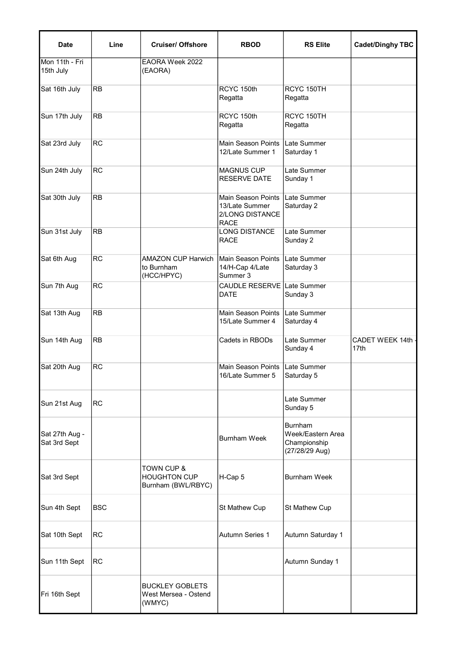| <b>Date</b>                    | Line       | <b>Cruiser/ Offshore</b>                                           | <b>RBOD</b>                                                                   | <b>RS Elite</b>                                                       | <b>Cadet/Dinghy TBC</b>   |
|--------------------------------|------------|--------------------------------------------------------------------|-------------------------------------------------------------------------------|-----------------------------------------------------------------------|---------------------------|
| Mon 11th - Fri<br>15th July    |            | EAORA Week 2022<br>(EAORA)                                         |                                                                               |                                                                       |                           |
| Sat 16th July                  | <b>RB</b>  |                                                                    | RCYC 150th<br>Regatta                                                         | RCYC 150TH<br>Regatta                                                 |                           |
| Sun 17th July                  | <b>RB</b>  |                                                                    | RCYC 150th<br>Regatta                                                         | RCYC 150TH<br>Regatta                                                 |                           |
| Sat 23rd July                  | <b>RC</b>  |                                                                    | <b>Main Season Points</b><br>12/Late Summer 1                                 | Late Summer<br>Saturday 1                                             |                           |
| Sun 24th July                  | <b>RC</b>  |                                                                    | <b>MAGNUS CUP</b><br><b>RESERVE DATE</b>                                      | Late Summer<br>Sunday 1                                               |                           |
| Sat 30th July                  | <b>RB</b>  |                                                                    | <b>Main Season Points</b><br>13/Late Summer<br>2/LONG DISTANCE<br><b>RACE</b> | Late Summer<br>Saturday 2                                             |                           |
| Sun 31st July                  | <b>RB</b>  |                                                                    | <b>LONG DISTANCE</b><br><b>RACE</b>                                           | Late Summer<br>Sunday 2                                               |                           |
| Sat 6th Aug                    | <b>RC</b>  | <b>AMAZON CUP Harwich</b><br>to Burnham<br>(HCC/HPYC)              | Main Season Points<br>14/H-Cap 4/Late<br>Summer 3                             | Late Summer<br>Saturday 3                                             |                           |
| Sun 7th Aug                    | <b>RC</b>  |                                                                    | <b>CAUDLE RESERVE</b><br><b>DATE</b>                                          | Late Summer<br>Sunday 3                                               |                           |
| Sat 13th Aug                   | <b>RB</b>  |                                                                    | <b>Main Season Points</b><br>15/Late Summer 4                                 | Late Summer<br>Saturday 4                                             |                           |
| Sun 14th Aug                   | <b>RB</b>  |                                                                    | Cadets in RBODs                                                               | Late Summer<br>Sunday 4                                               | CADET WEEK 14th -<br>17th |
| Sat 20th Aug                   | <b>RC</b>  |                                                                    | Main Season Points   Late Summer<br>16/Late Summer 5                          | Saturday 5                                                            |                           |
| Sun 21st Aug                   | <b>RC</b>  |                                                                    |                                                                               | Late Summer<br>Sunday 5                                               |                           |
| Sat 27th Aug -<br>Sat 3rd Sept |            |                                                                    | <b>Burnham Week</b>                                                           | <b>Burnham</b><br>Week/Eastern Area<br>Championship<br>(27/28/29 Aug) |                           |
| Sat 3rd Sept                   |            | <b>TOWN CUP &amp;</b><br><b>HOUGHTON CUP</b><br>Burnham (BWL/RBYC) | H-Cap 5                                                                       | <b>Burnham Week</b>                                                   |                           |
| Sun 4th Sept                   | <b>BSC</b> |                                                                    | St Mathew Cup                                                                 | St Mathew Cup                                                         |                           |
| Sat 10th Sept                  | RC         |                                                                    | <b>Autumn Series 1</b>                                                        | Autumn Saturday 1                                                     |                           |
| Sun 11th Sept                  | RC         |                                                                    |                                                                               | Autumn Sunday 1                                                       |                           |
| Fri 16th Sept                  |            | <b>BUCKLEY GOBLETS</b><br>West Mersea - Ostend<br>(WMYC)           |                                                                               |                                                                       |                           |